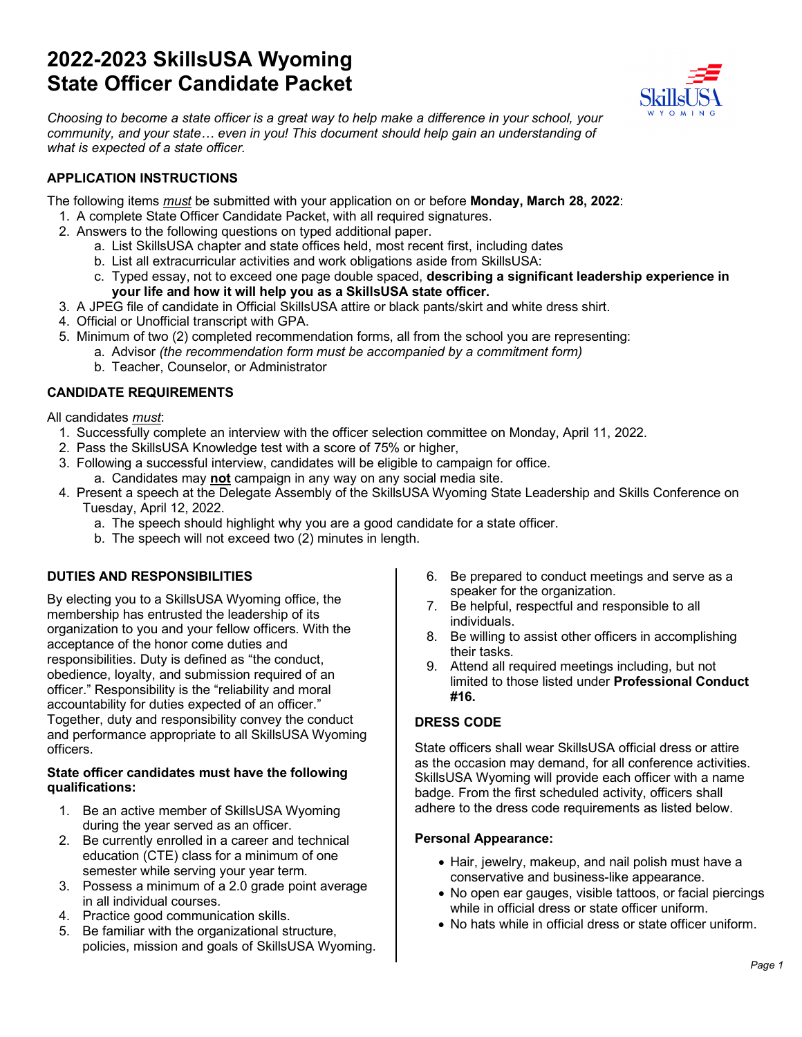## **2022-2023 SkillsUSA Wyoming State Officer Candidate Packet**



*Choosing to become a state officer is a great way to help make a difference in your school, your community, and your state… even in you! This document should help gain an understanding of what is expected of a state officer.*

## **APPLICATION INSTRUCTIONS**

The following items *must* be submitted with your application on or before **Monday, March 28, 2022**:

- 1. A complete State Officer Candidate Packet, with all required signatures.
- 2. Answers to the following questions on typed additional paper.
	- a. List SkillsUSA chapter and state offices held, most recent first, including dates
	- b. List all extracurricular activities and work obligations aside from SkillsUSA:
	- c. Typed essay, not to exceed one page double spaced, **describing a significant leadership experience in your life and how it will help you as a SkillsUSA state officer.**
- 3. A JPEG file of candidate in Official SkillsUSA attire or black pants/skirt and white dress shirt.
- 4. Official or Unofficial transcript with GPA.
- 5. Minimum of two (2) completed recommendation forms, all from the school you are representing:
	- a. Advisor *(the recommendation form must be accompanied by a commitment form)* b. Teacher, Counselor, or Administrator

## **CANDIDATE REQUIREMENTS**

All candidates *must*:

- 1. Successfully complete an interview with the officer selection committee on Monday, April 11, 2022.
- 2. Pass the SkillsUSA Knowledge test with a score of 75% or higher,
- 3. Following a successful interview, candidates will be eligible to campaign for office.
	- a. Candidates may **not** campaign in any way on any social media site.
- 4. Present a speech at the Delegate Assembly of the SkillsUSA Wyoming State Leadership and Skills Conference on Tuesday, April 12, 2022.
	- a. The speech should highlight why you are a good candidate for a state officer.
	- b. The speech will not exceed two (2) minutes in length.

## **DUTIES AND RESPONSIBILITIES**

By electing you to a SkillsUSA Wyoming office, the membership has entrusted the leadership of its organization to you and your fellow officers. With the acceptance of the honor come duties and responsibilities. Duty is defined as "the conduct, obedience, loyalty, and submission required of an officer." Responsibility is the "reliability and moral accountability for duties expected of an officer." Together, duty and responsibility convey the conduct and performance appropriate to all SkillsUSA Wyoming officers.

#### **State officer candidates must have the following qualifications:**

- 1. Be an active member of SkillsUSA Wyoming during the year served as an officer.
- 2. Be currently enrolled in a career and technical education (CTE) class for a minimum of one semester while serving your year term.
- 3. Possess a minimum of a 2.0 grade point average in all individual courses.
- 4. Practice good communication skills.
- 5. Be familiar with the organizational structure, policies, mission and goals of SkillsUSA Wyoming.
- 6. Be prepared to conduct meetings and serve as a speaker for the organization.
- 7. Be helpful, respectful and responsible to all individuals.
- 8. Be willing to assist other officers in accomplishing their tasks.
- 9. Attend all required meetings including, but not limited to those listed under **Professional Conduct #16.**

## **DRESS CODE**

State officers shall wear SkillsUSA official dress or attire as the occasion may demand, for all conference activities. SkillsUSA Wyoming will provide each officer with a name badge. From the first scheduled activity, officers shall adhere to the dress code requirements as listed below.

## **Personal Appearance:**

- Hair, jewelry, makeup, and nail polish must have a conservative and business-like appearance.
- No open ear gauges, visible tattoos, or facial piercings while in official dress or state officer uniform.
- No hats while in official dress or state officer uniform.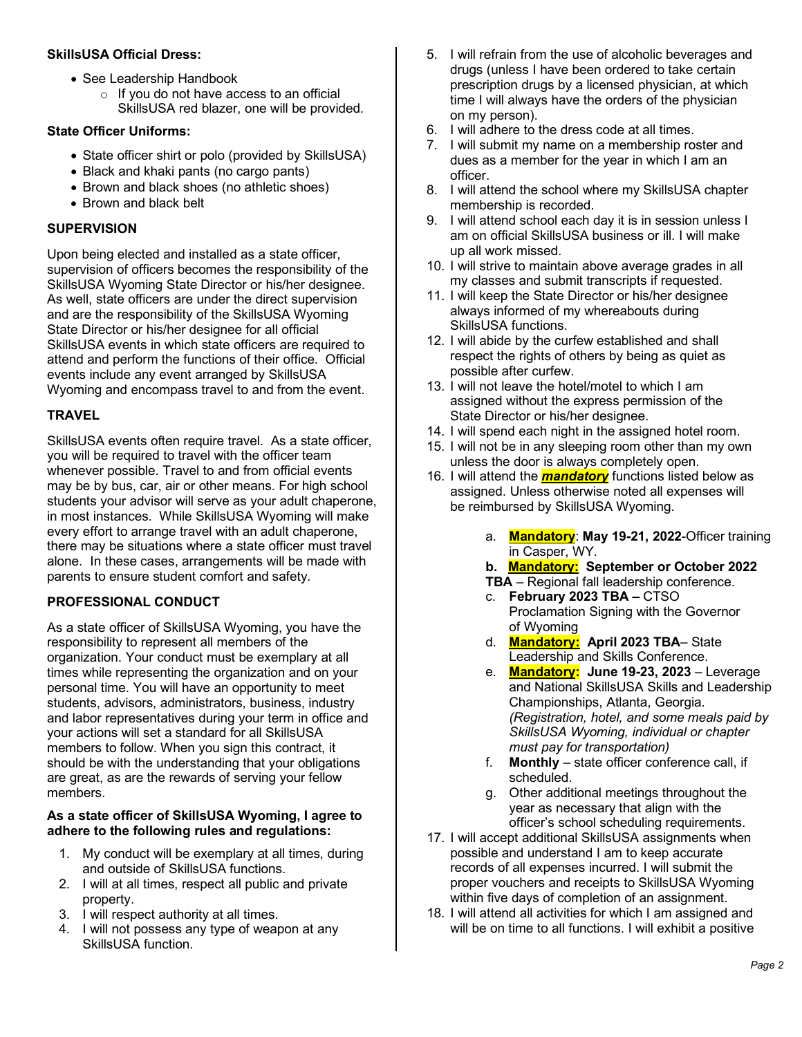#### **SkillsUSA Official Dress:**

- See Leadership Handbook
	- o If you do not have access to an official SkillsUSA red blazer, one will be provided.

#### **State Officer Uniforms:**

- State officer shirt or polo (provided by SkillsUSA)
- Black and khaki pants (no cargo pants)
- Brown and black shoes (no athletic shoes)
- Brown and black belt

#### **SUPERVISION**

Upon being elected and installed as a state officer, supervision of officers becomes the responsibility of the SkillsUSA Wyoming State Director or his/her designee. As well, state officers are under the direct supervision and are the responsibility of the SkillsUSA Wyoming State Director or his/her designee for all official SkillsUSA events in which state officers are required to attend and perform the functions of their office. Official events include any event arranged by SkillsUSA Wyoming and encompass travel to and from the event.

#### **TRAVEL**

SkillsUSA events often require travel. As a state officer, you will be required to travel with the officer team whenever possible. Travel to and from official events may be by bus, car, air or other means. For high school students your advisor will serve as your adult chaperone, in most instances. While SkillsUSA Wyoming will make every effort to arrange travel with an adult chaperone, there may be situations where a state officer must travel alone. In these cases, arrangements will be made with parents to ensure student comfort and safety.

## **PROFESSIONAL CONDUCT**

As a state officer of SkillsUSA Wyoming, you have the responsibility to represent all members of the organization. Your conduct must be exemplary at all times while representing the organization and on your personal time. You will have an opportunity to meet students, advisors, administrators, business, industry and labor representatives during your term in office and your actions will set a standard for all SkillsUSA members to follow. When you sign this contract, it should be with the understanding that your obligations are great, as are the rewards of serving your fellow members.

#### **As a state officer of SkillsUSA Wyoming, I agree to adhere to the following rules and regulations:**

- 1. My conduct will be exemplary at all times, during and outside of SkillsUSA functions.
- 2. I will at all times, respect all public and private property.
- 3. I will respect authority at all times.
- 4. I will not possess any type of weapon at any SkillsUSA function.
- 5. I will refrain from the use of alcoholic beverages and drugs (unless I have been ordered to take certain prescription drugs by a licensed physician, at which time I will always have the orders of the physician on my person).
- 6. I will adhere to the dress code at all times.
- 7. I will submit my name on a membership roster and dues as a member for the year in which I am an officer.
- 8. I will attend the school where my SkillsUSA chapter membership is recorded.
- 9. I will attend school each day it is in session unless I am on official SkillsUSA business or ill. I will make up all work missed.
- 10. I will strive to maintain above average grades in all my classes and submit transcripts if requested.
- 11. I will keep the State Director or his/her designee always informed of my whereabouts during SkillsUSA functions.
- 12. I will abide by the curfew established and shall respect the rights of others by being as quiet as possible after curfew.
- 13. I will not leave the hotel/motel to which I am assigned without the express permission of the State Director or his/her designee.
- 14. I will spend each night in the assigned hotel room.
- 15. I will not be in any sleeping room other than my own unless the door is always completely open.
- 16. I will attend the *mandatory* functions listed below as assigned. Unless otherwise noted all expenses will be reimbursed by SkillsUSA Wyoming.
	- a. **Mandatory**: **May 19-21, 2022**-Officer training in Casper, WY.
	- **b. Mandatory: September or October 2022**
	- **TBA** Regional fall leadership conference.
	- c. **February 2023 TBA –** CTSO Proclamation Signing with the Governor of Wyoming
	- d. **Mandatory: April 2023 TBA** State Leadership and Skills Conference.
	- e. **Mandatory: June 19-23, 2023** Leverage and National SkillsUSA Skills and Leadership Championships, Atlanta, Georgia. *(Registration, hotel, and some meals paid by SkillsUSA Wyoming, individual or chapter must pay for transportation)*
	- f. **Monthly** state officer conference call, if scheduled.
	- g. Other additional meetings throughout the year as necessary that align with the officer's school scheduling requirements.
- 17. I will accept additional SkillsUSA assignments when possible and understand I am to keep accurate records of all expenses incurred. I will submit the proper vouchers and receipts to SkillsUSA Wyoming within five days of completion of an assignment.
- 18. I will attend all activities for which I am assigned and will be on time to all functions. I will exhibit a positive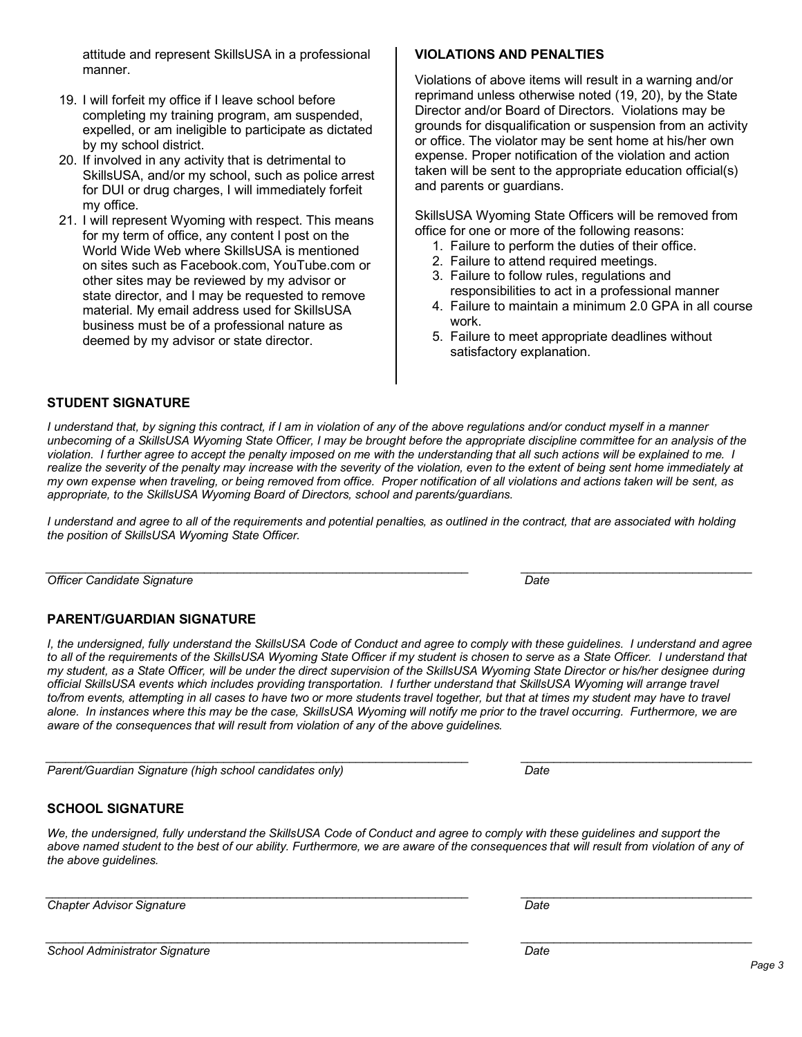attitude and represent SkillsUSA in a professional manner.

- 19. I will forfeit my office if I leave school before completing my training program, am suspended, expelled, or am ineligible to participate as dictated by my school district.
- 20. If involved in any activity that is detrimental to SkillsUSA, and/or my school, such as police arrest for DUI or drug charges, I will immediately forfeit my office.
- 21. I will represent Wyoming with respect. This means for my term of office, any content I post on the World Wide Web where SkillsUSA is mentioned on sites such as Facebook.com, YouTube.com or other sites may be reviewed by my advisor or state director, and I may be requested to remove material. My email address used for SkillsUSA business must be of a professional nature as deemed by my advisor or state director.

## **VIOLATIONS AND PENALTIES**

Violations of above items will result in a warning and/or reprimand unless otherwise noted (19, 20), by the State Director and/or Board of Directors. Violations may be grounds for disqualification or suspension from an activity or office. The violator may be sent home at his/her own expense. Proper notification of the violation and action taken will be sent to the appropriate education official(s) and parents or guardians.

SkillsUSA Wyoming State Officers will be removed from office for one or more of the following reasons:

- 1. Failure to perform the duties of their office.
- 2. Failure to attend required meetings.
- 3. Failure to follow rules, regulations and responsibilities to act in a professional manner
- 4. Failure to maintain a minimum 2.0 GPA in all course work.
- 5. Failure to meet appropriate deadlines without satisfactory explanation.

## **STUDENT SIGNATURE**

*I understand that, by signing this contract, if I am in violation of any of the above regulations and/or conduct myself in a manner unbecoming of a SkillsUSA Wyoming State Officer, I may be brought before the appropriate discipline committee for an analysis of the violation. I further agree to accept the penalty imposed on me with the understanding that all such actions will be explained to me. I realize the severity of the penalty may increase with the severity of the violation, even to the extent of being sent home immediately at my own expense when traveling, or being removed from office. Proper notification of all violations and actions taken will be sent, as appropriate, to the SkillsUSA Wyoming Board of Directors, school and parents/guardians.*

*I understand and agree to all of the requirements and potential penalties, as outlined in the contract, that are associated with holding the position of SkillsUSA Wyoming State Officer.*

*\_\_\_\_\_\_\_\_\_\_\_\_\_\_\_\_\_\_\_\_\_\_\_\_\_\_\_\_\_\_\_\_\_\_\_\_\_\_\_\_\_\_\_\_\_\_\_\_\_\_\_\_\_\_\_\_\_\_\_\_\_\_\_\_ \_\_\_\_\_\_\_\_\_\_\_\_\_\_\_\_\_\_\_\_\_\_\_\_\_\_\_\_\_\_\_\_\_\_\_ Officer Candidate Signature Date*

## **PARENT/GUARDIAN SIGNATURE**

*I, the undersigned, fully understand the SkillsUSA Code of Conduct and agree to comply with these guidelines. I understand and agree to all of the requirements of the SkillsUSA Wyoming State Officer if my student is chosen to serve as a State Officer. I understand that my student, as a State Officer, will be under the direct supervision of the SkillsUSA Wyoming State Director or his/her designee during official SkillsUSA events which includes providing transportation. I further understand that SkillsUSA Wyoming will arrange travel*  to/from events, attempting in all cases to have two or more students travel together, but that at times my student may have to travel *alone. In instances where this may be the case, SkillsUSA Wyoming will notify me prior to the travel occurring. Furthermore, we are aware of the consequences that will result from violation of any of the above guidelines.*

*\_\_\_\_\_\_\_\_\_\_\_\_\_\_\_\_\_\_\_\_\_\_\_\_\_\_\_\_\_\_\_\_\_\_\_\_\_\_\_\_\_\_\_\_\_\_\_\_\_\_\_\_\_\_\_\_\_\_\_\_\_\_\_\_ \_\_\_\_\_\_\_\_\_\_\_\_\_\_\_\_\_\_\_\_\_\_\_\_\_\_\_\_\_\_\_\_\_\_\_ Parent/Guardian Signature (high school candidates only) Date*

## **SCHOOL SIGNATURE**

*We, the undersigned, fully understand the SkillsUSA Code of Conduct and agree to comply with these guidelines and support the*  above named student to the best of our ability. Furthermore, we are aware of the consequences that will result from violation of any of *the above guidelines.*

*\_\_\_\_\_\_\_\_\_\_\_\_\_\_\_\_\_\_\_\_\_\_\_\_\_\_\_\_\_\_\_\_\_\_\_\_\_\_\_\_\_\_\_\_\_\_\_\_\_\_\_\_\_\_\_\_\_\_\_\_\_\_\_\_ \_\_\_\_\_\_\_\_\_\_\_\_\_\_\_\_\_\_\_\_\_\_\_\_\_\_\_\_\_\_\_\_\_\_\_ Chapter Advisor Signature Date*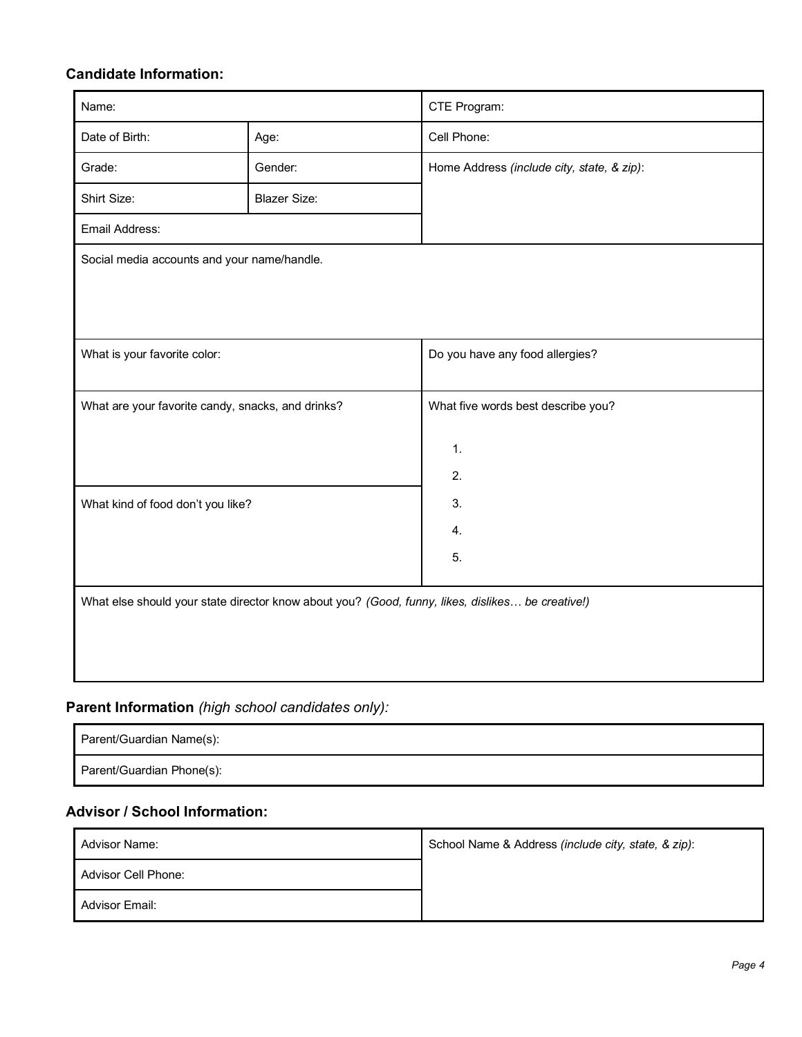## **Candidate Information:**

| Name:                                             |                                                                                                  | CTE Program:                               |  |  |
|---------------------------------------------------|--------------------------------------------------------------------------------------------------|--------------------------------------------|--|--|
| Date of Birth:                                    | Age:                                                                                             | Cell Phone:                                |  |  |
| Grade:                                            | Gender:                                                                                          | Home Address (include city, state, & zip): |  |  |
| Shirt Size:                                       | <b>Blazer Size:</b>                                                                              |                                            |  |  |
| Email Address:                                    |                                                                                                  |                                            |  |  |
| Social media accounts and your name/handle.       |                                                                                                  |                                            |  |  |
|                                                   |                                                                                                  |                                            |  |  |
|                                                   |                                                                                                  |                                            |  |  |
| What is your favorite color:                      |                                                                                                  | Do you have any food allergies?            |  |  |
|                                                   |                                                                                                  |                                            |  |  |
| What are your favorite candy, snacks, and drinks? |                                                                                                  | What five words best describe you?         |  |  |
|                                                   |                                                                                                  | $\mathbf{1}$ .                             |  |  |
|                                                   |                                                                                                  | 2.                                         |  |  |
| What kind of food don't you like?                 |                                                                                                  | 3.                                         |  |  |
|                                                   |                                                                                                  | $\overline{4}$ .                           |  |  |
|                                                   |                                                                                                  | 5.                                         |  |  |
|                                                   |                                                                                                  |                                            |  |  |
|                                                   | What else should your state director know about you? (Good, funny, likes, dislikes be creative!) |                                            |  |  |
|                                                   |                                                                                                  |                                            |  |  |
|                                                   |                                                                                                  |                                            |  |  |

## **Parent Information** *(high school candidates only):*

| Parent/Guardian Name(s):  |  |
|---------------------------|--|
| Parent/Guardian Phone(s): |  |

## **Advisor / School Information:**

| Advisor Name:       | School Name & Address (include city, state, & zip): |  |
|---------------------|-----------------------------------------------------|--|
| Advisor Cell Phone: |                                                     |  |
| Advisor Email:      |                                                     |  |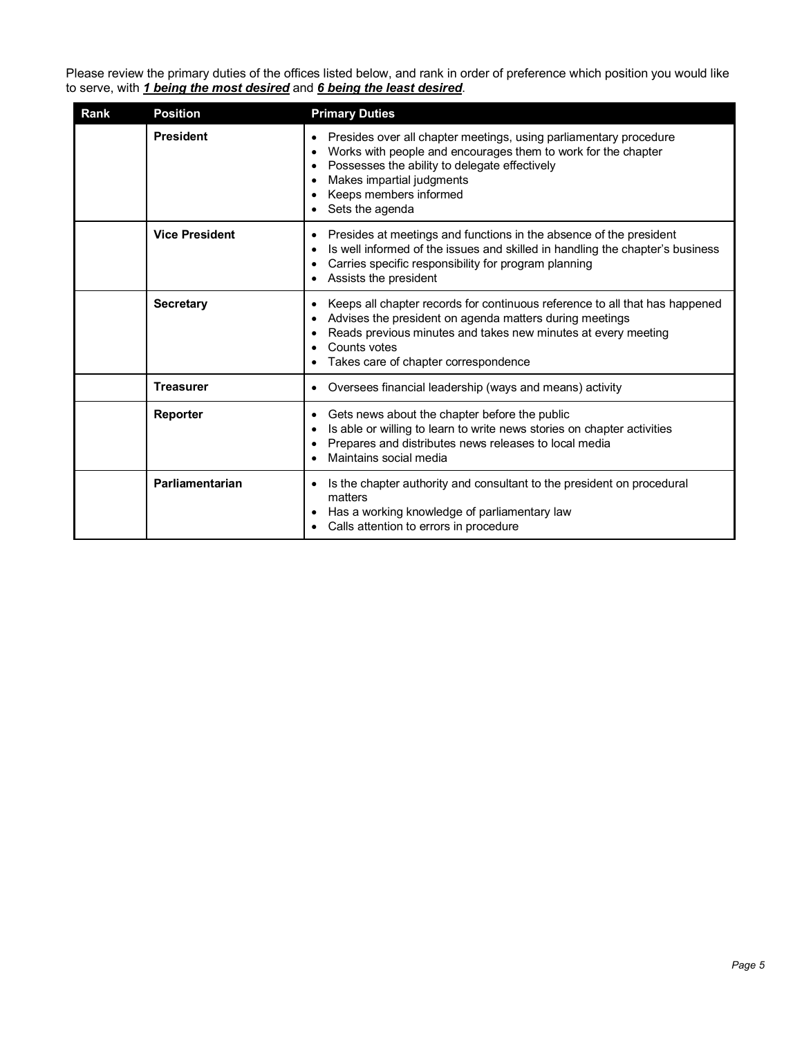Please review the primary duties of the offices listed below, and rank in order of preference which position you would like to serve, with *1 being the most desired* and *6 being the least desired*.

| Rank | <b>Position</b>       | <b>Primary Duties</b>                                                                                                                                                                                                                                                   |
|------|-----------------------|-------------------------------------------------------------------------------------------------------------------------------------------------------------------------------------------------------------------------------------------------------------------------|
|      | <b>President</b>      | Presides over all chapter meetings, using parliamentary procedure<br>٠<br>Works with people and encourages them to work for the chapter<br>٠<br>Possesses the ability to delegate effectively<br>Makes impartial judgments<br>Keeps members informed<br>Sets the agenda |
|      | <b>Vice President</b> | Presides at meetings and functions in the absence of the president<br>Is well informed of the issues and skilled in handling the chapter's business<br>Carries specific responsibility for program planning<br>Assists the president                                    |
|      | <b>Secretary</b>      | Keeps all chapter records for continuous reference to all that has happened<br>٠<br>Advises the president on agenda matters during meetings<br>Reads previous minutes and takes new minutes at every meeting<br>Counts votes<br>Takes care of chapter correspondence    |
|      | <b>Treasurer</b>      | Oversees financial leadership (ways and means) activity<br>$\bullet$                                                                                                                                                                                                    |
|      | Reporter              | Gets news about the chapter before the public<br>$\bullet$<br>Is able or willing to learn to write news stories on chapter activities<br>Prepares and distributes news releases to local media<br>Maintains social media                                                |
|      | Parliamentarian       | Is the chapter authority and consultant to the president on procedural<br>٠<br>matters<br>Has a working knowledge of parliamentary law<br>Calls attention to errors in procedure                                                                                        |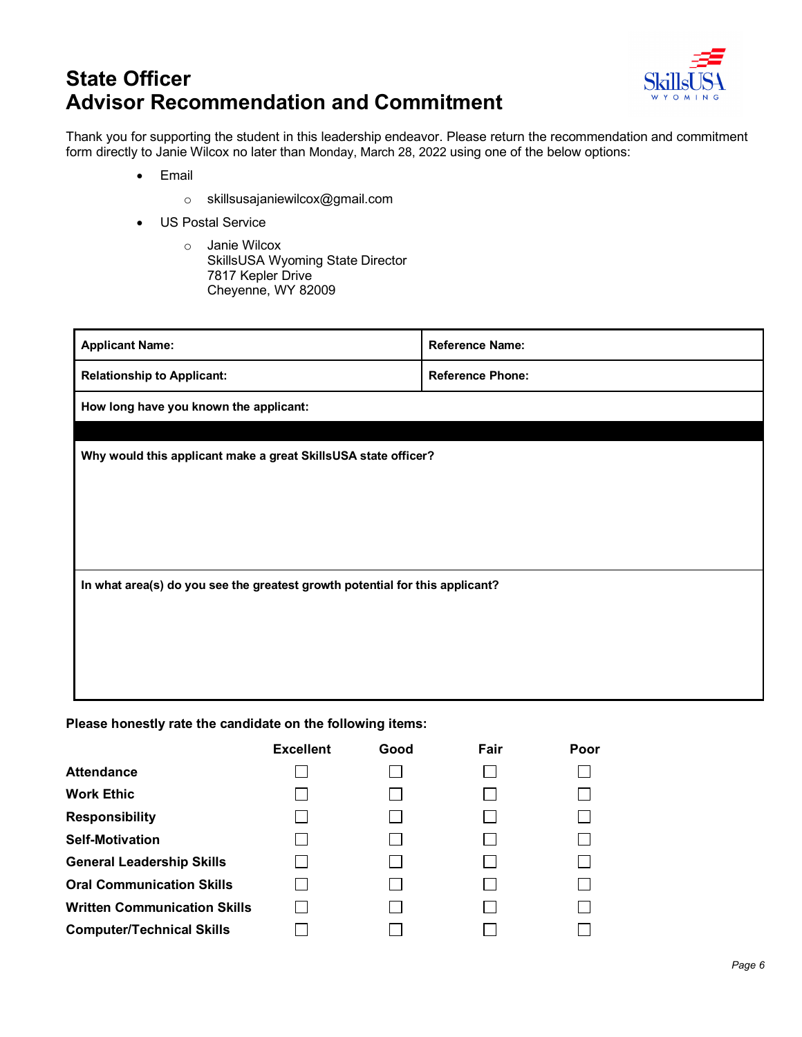# **State Officer Advisor Recommendation and Commitment**



Thank you for supporting the student in this leadership endeavor. Please return the recommendation and commitment form directly to Janie Wilcox no later than Monday, March 28, 2022 using one of the below options:

- Email
	- o skillsusajaniewilcox@gmail.com
- US Postal Service
	- o Janie Wilcox SkillsUSA Wyoming State Director 7817 Kepler Drive Cheyenne, WY 82009

| <b>Applicant Name:</b>                                                       | <b>Reference Name:</b>  |  |  |  |
|------------------------------------------------------------------------------|-------------------------|--|--|--|
| <b>Relationship to Applicant:</b>                                            | <b>Reference Phone:</b> |  |  |  |
| How long have you known the applicant:                                       |                         |  |  |  |
|                                                                              |                         |  |  |  |
| Why would this applicant make a great SkillsUSA state officer?               |                         |  |  |  |
|                                                                              |                         |  |  |  |
|                                                                              |                         |  |  |  |
|                                                                              |                         |  |  |  |
| In what area(s) do you see the greatest growth potential for this applicant? |                         |  |  |  |
|                                                                              |                         |  |  |  |
|                                                                              |                         |  |  |  |
|                                                                              |                         |  |  |  |
|                                                                              |                         |  |  |  |

**Please honestly rate the candidate on the following items:**

|                                     | <b>Excellent</b> | Good           | Fair | Poor |
|-------------------------------------|------------------|----------------|------|------|
| <b>Attendance</b>                   |                  |                |      |      |
| <b>Work Ethic</b>                   |                  |                |      |      |
| <b>Responsibility</b>               |                  |                |      |      |
| <b>Self-Motivation</b>              |                  |                |      |      |
| <b>General Leadership Skills</b>    |                  |                |      |      |
| <b>Oral Communication Skills</b>    |                  | $\mathbb{R}^n$ |      |      |
| <b>Written Communication Skills</b> |                  |                |      |      |
| <b>Computer/Technical Skills</b>    |                  |                |      |      |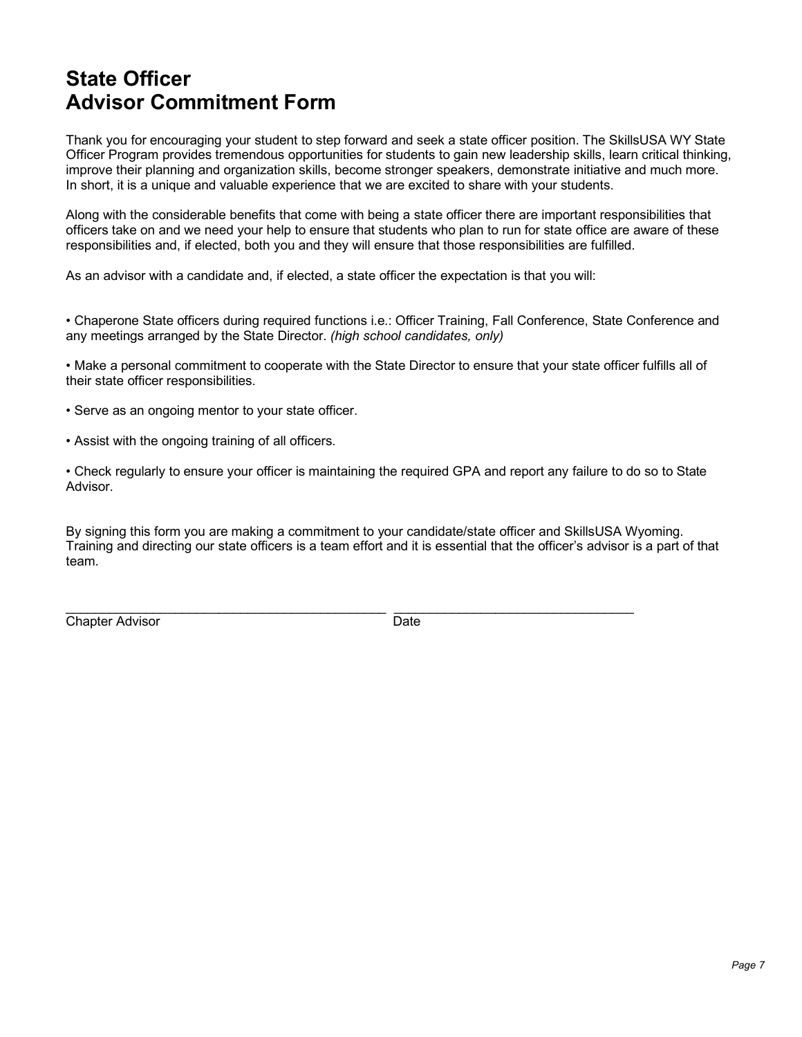## **State Officer Advisor Commitment Form**

Thank you for encouraging your student to step forward and seek a state officer position. The SkillsUSA WY State Officer Program provides tremendous opportunities for students to gain new leadership skills, learn critical thinking, improve their planning and organization skills, become stronger speakers, demonstrate initiative and much more. In short, it is a unique and valuable experience that we are excited to share with your students.

Along with the considerable benefits that come with being a state officer there are important responsibilities that officers take on and we need your help to ensure that students who plan to run for state office are aware of these responsibilities and, if elected, both you and they will ensure that those responsibilities are fulfilled.

As an advisor with a candidate and, if elected, a state officer the expectation is that you will:

• Chaperone State officers during required functions i.e.: Officer Training, Fall Conference, State Conference and any meetings arranged by the State Director. *(high school candidates, only)*

• Make a personal commitment to cooperate with the State Director to ensure that your state officer fulfills all of their state officer responsibilities.

• Serve as an ongoing mentor to your state officer.

• Assist with the ongoing training of all officers.

• Check regularly to ensure your officer is maintaining the required GPA and report any failure to do so to State Advisor.

By signing this form you are making a commitment to your candidate/state officer and SkillsUSA Wyoming. Training and directing our state officers is a team effort and it is essential that the officer's advisor is a part of that team.

**Chapter Advisor** Date

\_\_\_\_\_\_\_\_\_\_\_\_\_\_\_\_\_\_\_\_\_\_\_\_\_\_\_\_\_\_\_\_\_\_\_\_\_\_\_\_\_\_\_\_ \_\_\_\_\_\_\_\_\_\_\_\_\_\_\_\_\_\_\_\_\_\_\_\_\_\_\_\_\_\_\_\_\_